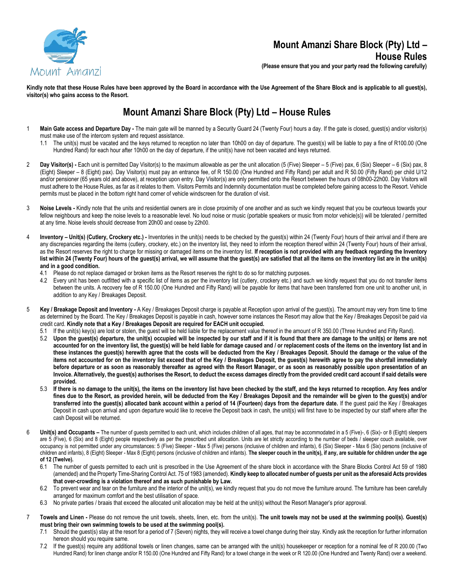

## **Mount Amanzi Share Block (Pty) Ltd – House Rules**

**(Please ensure that you and your party read the following carefully)**

**Kindly note that these House Rules have been approved by the Board in accordance with the Use Agreement of the Share Block and is applicable to all guest(s), visitor(s) who gains access to the Resort.**

## **Mount Amanzi Share Block (Pty) Ltd – House Rules**

- 1 **Main Gate access and Departure Day -** The main gate will be manned by a Security Guard 24 (Twenty Four) hours a day. If the gate is closed, guest(s) and/or visitor(s) must make use of the intercom system and request assistance.
	- 1.1 The unit(s) must be vacated and the keys returned to reception no later than 10h00 on day of departure. The guest(s) will be liable to pay a fine of R100.00 (One Hundred Rand) for each hour after 10h00 on the day of departure, if the unit(s) have not been vacated and keys returned.
- 2 **Day Visitor(s)** Each unit is permitted Day Visitor(s) to the maximum allowable as per the unit allocation (5 (Five) Sleeper 5 (Five) pax, 6 (Six) Sleeper 6 (Six) pax, 8 (Eight) Sleeper – 8 (Eight) pax). Day Visitor(s) must pay an entrance fee, of R 150.00 (One Hundred and Fifty Rand) per adult and R 50.00 (Fifty Rand) per child U/12 and/or pensioner (65 years old and above), at reception upon entry. Day Visitor(s) are only permitted onto the Resort between the hours of 08h00-22h00. Day Visitors will must adhere to the House Rules, as far as it relates to them. Visitors Permits and Indemnity documentation must be completed before gaining access to the Resort. Vehicle permits must be placed in the bottom right hand corner of vehicle windscreen for the duration of visit.
- 3 **Noise Levels -** Kindly note that the units and residential owners are in close proximity of one another and as such we kindly request that you be courteous towards your fellow neighbours and keep the noise levels to a reasonable level. No loud noise or music (portable speakers or music from motor vehicle(s)) will be tolerated / permitted at any time. Noise levels should decrease from 20h00 and cease by 22h00.
- 4 **Inventory – Unit(s) (Cutlery, Crockery etc.) -** Inventories in the unit(s) needs to be checked by the guest(s) within 24 (Twenty Four) hours of their arrival and if there are any discrepancies regarding the items (cutlery, crockery, etc.) on the inventory list, they need to inform the reception thereof within 24 (Twenty Four) hours of their arrival, as the Resort reserves the right to charge for missing or damaged items on the inventory list. **If reception is not provided with any feedback regarding the Inventory list within 24 (Twenty Four) hours of the guest(s) arrival, we will assume that the guest(s) are satisfied that all the items on the inventory list are in the unit(s) and in a good condition.**
	- 4.1 Please do not replace damaged or broken items as the Resort reserves the right to do so for matching purposes.
	- 4.2 Every unit has been outfitted with a specific list of items as per the inventory list (cutlery, crockery etc.) and such we kindly request that you do not transfer items between the units. A recovery fee of R 150.00 (One Hundred and Fifty Rand) will be payable for items that have been transferred from one unit to another unit, in addition to any Key / Breakages Deposit.
- 5 **Key / Breakage Deposit and Inventory -** A Key / Breakages Deposit charge is payable at Reception upon arrival of the guest(s). The amount may very from time to time as determined by the Board. The Key / Breakages Deposit is payable in cash, however some instances the Resort may allow that the Key / Breakages Deposit be paid via credit card. **Kindly note that a Key / Breakages Deposit are required for EACH unit occupied.**
	- 5.1 If the unit(s) key(s) are lost or stolen, the guest will be held liable for the replacement value thereof in the amount of R 350.00 (Three Hundred and Fifty Rand).
	- 5.2 **Upon the guest(s) departure, the unit(s) occupied will be inspected by our staff and if it is found that there are damage to the unit(s) or items are not accounted for on the inventory list, the guest(s) will be held liable for damage caused and / or replacement costs of the items on the inventory list and in these instances the guest(s) herewith agree that the costs will be deducted from the Key / Breakages Deposit. Should the damage or the value of the items not accounted for on the inventory list exceed that of the Key / Breakages Deposit, the guest(s) herewith agree to pay the shortfall immediately before departure or as soon as reasonably thereafter as agreed with the Resort Manager, or as soon as reasonably possible upon presentation of an Invoice. Alternatively, the guest(s) authorises the Resort, to deduct the excess damages directly from the provided credit card account if said details were provided.**
	- 5.3 **If there is no damage to the unit(s), the items on the inventory list have been checked by the staff, and the keys returned to reception. Any fees and/or fines due to the Resort, as provided herein, will be deducted from the Key / Breakages Deposit and the remainder will be given to the guest(s) and/or transferred into the guest(s) allocated bank account within a period of 14 (Fourteen) days from the departure date.** If the guest paid the Key / Breakages Deposit in cash upon arrival and upon departure would like to receive the Deposit back in cash, the unit(s) will first have to be inspected by our staff where after the cash Deposit will be returned.
- 6 **Unit(s) and Occupants –** The number of guests permitted to each unit, which includes children of all ages, that may be accommodated in a 5 (Five)-, 6 (Six)- or 8 (Eight) sleepers are 5 (Five), 6 (Six) and 8 (Eight) people respectively as per the prescribed unit allocation. Units are let strictly according to the number of beds / sleeper couch available, over occupancy is not permitted under any circumstances: 5 (Five) Sleeper - Max 5 (Five) persons (inclusive of children and infants), 6 (Six) Sleeper - Max 6 (Six) persons (inclusive of children and infants), 8 (Eight) Sleeper - Max 8 (Eight) persons (inclusive of children and infants). **The sleeper couch in the unit(s), if any, are suitable for children under the age of 12 (Twelve).**
	- 6.1 The number of guests permitted to each unit is prescribed in the Use Agreement of the share block in accordance with the Share Blocks Control Act 59 of 1980 (amended) and the Property Time-Sharing Control Act. 75 of 1983 (amended). **Kindly keep to allocated number of guests per unit as the aforesaid Acts provides that over-crowding is a violation thereof and as such punishable by Law.**
	- 6.2 To prevent wear and tear on the furniture and the interior of the unit(s), we kindly request that you do not move the furniture around. The furniture has been carefully arranged for maximum comfort and the best utilisation of space.
	- 6.3 No private parties / braais that exceed the allocated unit allocation may be held at the unit(s) without the Resort Manager's prior approval.
- 7 **Towels and Linen -** Please do not remove the unit towels, sheets, linen, etc. from the unit(s). **The unit towels may not be used at the swimming pool(s). Guest(s) must bring their own swimming towels to be used at the swimming pool(s).**
	- 7.1 Should the guest(s) stay at the resort for a period of 7 (Seven) nights, they will receive a towel change during their stay. Kindly ask the reception for further information hereon should you require same.
	- 7.2 If the guest(s) require any additional towels or linen changes, same can be arranged with the unit(s) housekeeper or reception for a nominal fee of R 200.00 (Two Hundred Rand) for linen change and/or R 150.00 (One Hundred and Fifty Rand) for a towel change in the week or R 120.00 (One Hundred and Twenty Rand) over a weekend.